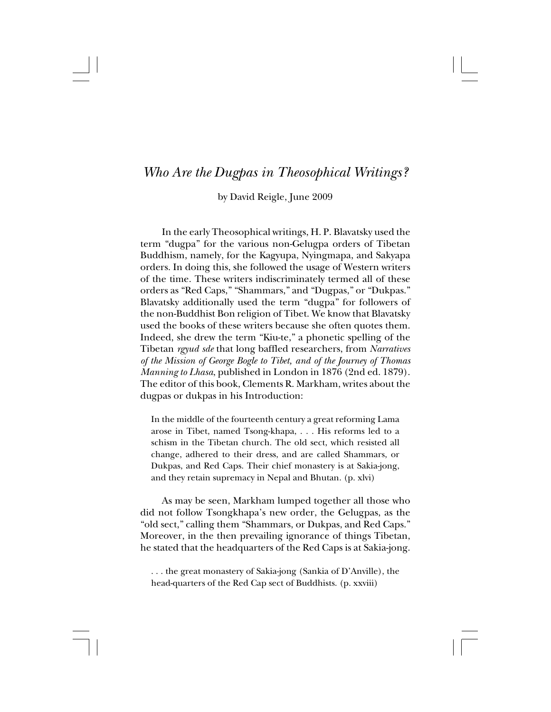## *Who Are the Dugpas in Theosophical Writings?*

by David Reigle, June 2009

In the early Theosophical writings, H. P. Blavatsky used the term "dugpa" for the various non-Gelugpa orders of Tibetan Buddhism, namely, for the Kagyupa, Nyingmapa, and Sakyapa orders. In doing this, she followed the usage of Western writers of the time. These writers indiscriminately termed all of these orders as "Red Caps," "Shammars," and "Dugpas," or "Dukpas." Blavatsky additionally used the term "dugpa" for followers of the non-Buddhist Bon religion of Tibet. We know that Blavatsky used the books of these writers because she often quotes them. Indeed, she drew the term "Kiu-te," a phonetic spelling of the Tibetan *rgyud sde* that long baffled researchers, from *Narratives of the Mission of George Bogle to Tibet, and of the Journey of Thomas Manning to Lhasa*, published in London in 1876 (2nd ed. 1879). The editor of this book, Clements R. Markham, writes about the dugpas or dukpas in his Introduction:

In the middle of the fourteenth century a great reforming Lama arose in Tibet, named Tsong-khapa, . . . His reforms led to a schism in the Tibetan church. The old sect, which resisted all change, adhered to their dress, and are called Shammars, or Dukpas, and Red Caps. Their chief monastery is at Sakia-jong, and they retain supremacy in Nepal and Bhutan. (p. xlvi)

As may be seen, Markham lumped together all those who did not follow Tsongkhapa's new order, the Gelugpas, as the "old sect," calling them "Shammars, or Dukpas, and Red Caps." Moreover, in the then prevailing ignorance of things Tibetan, he stated that the headquarters of the Red Caps is at Sakia-jong.

. . . the great monastery of Sakia-jong (Sankia of D'Anville), the head-quarters of the Red Cap sect of Buddhists. (p. xxviii)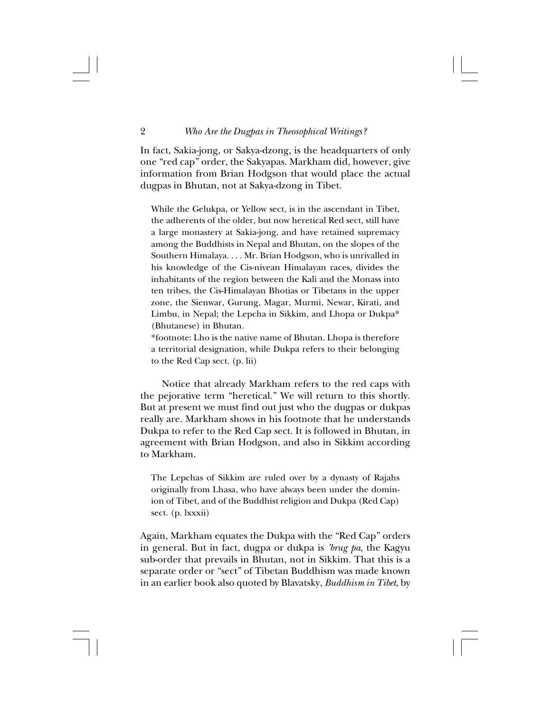In fact, Sakia-jong, or Sakya-dzong, is the headquarters of only one "red cap" order, the Sakyapas. Markham did, however, give information from Brian Hodgson that would place the actual dugpas in Bhutan, not at Sakya-dzong in Tibet.

While the Gelukpa, or Yellow sect, is in the ascendant in Tibet, the adherents of the older, but now heretical Red sect, still have a large monastery at Sakia-jong, and have retained supremacy among the Buddhists in Nepal and Bhutan, on the slopes of the Southern Himalaya. . . . Mr. Brian Hodgson, who is unrivalled in his knowledge of the Cis-nivean Himalayan races, divides the inhabitants of the region between the Kali and the Monass into ten tribes, the Cis-Himalayan Bhotias or Tibetans in the upper zone, the Sienwar, Gurung, Magar, Murmi, Newar, Kirati, and Limbu, in Nepal; the Lepcha in Sikkim, and Lhopa or Dukpa\* (Bhutanese) in Bhutan.

\*footnote: Lho is the native name of Bhutan. Lhopa is therefore a territorial designation, while Dukpa refers to their belonging to the Red Cap sect. (p. lii)

Notice that already Markham refers to the red caps with the pejorative term "heretical." We will return to this shortly. But at present we must find out just who the dugpas or dukpas really are. Markham shows in his footnote that he understands Dukpa to refer to the Red Cap sect. It is followed in Bhutan, in agreement with Brian Hodgson, and also in Sikkim according to Markham.

The Lepchas of Sikkim are ruled over by a dynasty of Rajahs originally from Lhasa, who have always been under the dominion of Tibet, and of the Buddhist religion and Dukpa (Red Cap) sect. (p. lxxxii)

Again, Markham equates the Dukpa with the "Red Cap" orders in general. But in fact, dugpa or dukpa is *'brug pa*, the Kagyu sub-order that prevails in Bhutan, not in Sikkim. That this is a separate order or "sect" of Tibetan Buddhism was made known in an earlier book also quoted by Blavatsky, *Buddhism in Tibet*, by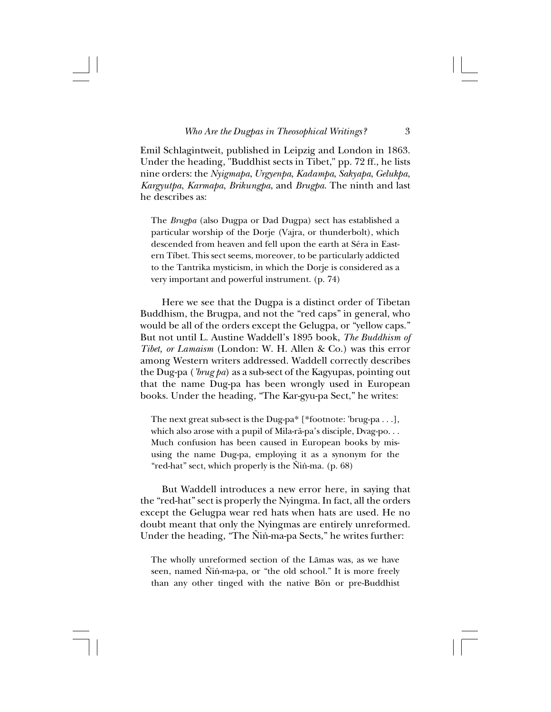Emil Schlagintweit, published in Leipzig and London in 1863. Under the heading, "Buddhist sects in Tibet," pp. 72 ff., he lists nine orders: the *Nyigmapa*, *Urgyenpa*, *Kadampa*, *Sakyapa*, *Gelukpa*, *Kargyutpa*, *Karmapa*, *Brikungpa*, and *Brugpa*. The ninth and last he describes as:

The *Brugpa* (also Dugpa or Dad Dugpa) sect has established a particular worship of the Dorje (Vajra, or thunderbolt), which descended from heaven and fell upon the earth at Séra in Eastern Tíbet. This sect seems, moreover, to be particularly addicted to the Tantrika mysticism, in which the Dorje is considered as a very important and powerful instrument. (p. 74)

Here we see that the Dugpa is a distinct order of Tibetan Buddhism, the Brugpa, and not the "red caps" in general, who would be all of the orders except the Gelugpa, or "yellow caps." But not until L. Austine Waddell's 1895 book, *The Buddhism of Tibet, or Lamaism* (London: W. H. Allen & Co.) was this error among Western writers addressed. Waddell correctly describes the Dug-pa (*'brug pa*) as a sub-sect of the Kagyupas, pointing out that the name Dug-pa has been wrongly used in European books. Under the heading, "The Kar-gyu-pa Sect," he writes:

The next great sub-sect is the Dug-pa\* [\*footnote: 'brug-pa . . .], which also arose with a pupil of Mila-rä-pa's disciple, Dvag-po. . . Much confusion has been caused in European books by misusing the name Dug-pa, employing it as a synonym for the "red-hat" sect, which properly is the Ñin-ma.  $(p. 68)$ 

But Waddell introduces a new error here, in saying that the "red-hat" sect is properly the Nyingma. In fact, all the orders except the Gelugpa wear red hats when hats are used. He no doubt meant that only the Nyingmas are entirely unreformed. Under the heading, "The Ñin-ma-pa Sects," he writes further:

The wholly unreformed section of the Låmas was, as we have seen, named Ñin-ma-pa, or "the old school." It is more freely than any other tinged with the native Bön or pre-Buddhist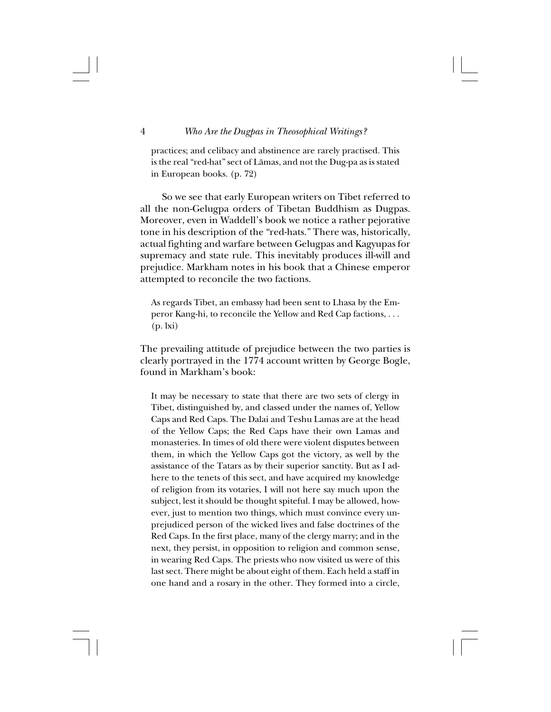practices; and celibacy and abstinence are rarely practised. This is the real "red-hat" sect of Låmas, and not the Dug-pa as is stated in European books. (p. 72)

So we see that early European writers on Tibet referred to all the non-Gelugpa orders of Tibetan Buddhism as Dugpas. Moreover, even in Waddell's book we notice a rather pejorative tone in his description of the "red-hats." There was, historically, actual fighting and warfare between Gelugpas and Kagyupas for supremacy and state rule. This inevitably produces ill-will and prejudice. Markham notes in his book that a Chinese emperor attempted to reconcile the two factions.

As regards Tibet, an embassy had been sent to Lhasa by the Emperor Kang-hi, to reconcile the Yellow and Red Cap factions, . . . (p. lxi)

The prevailing attitude of prejudice between the two parties is clearly portrayed in the 1774 account written by George Bogle, found in Markham's book:

It may be necessary to state that there are two sets of clergy in Tibet, distinguished by, and classed under the names of, Yellow Caps and Red Caps. The Dalai and Teshu Lamas are at the head of the Yellow Caps; the Red Caps have their own Lamas and monasteries. In times of old there were violent disputes between them, in which the Yellow Caps got the victory, as well by the assistance of the Tatars as by their superior sanctity. But as I adhere to the tenets of this sect, and have acquired my knowledge of religion from its votaries, I will not here say much upon the subject, lest it should be thought spiteful. I may be allowed, however, just to mention two things, which must convince every unprejudiced person of the wicked lives and false doctrines of the Red Caps. In the first place, many of the clergy marry; and in the next, they persist, in opposition to religion and common sense, in wearing Red Caps. The priests who now visited us were of this last sect. There might be about eight of them. Each held a staff in one hand and a rosary in the other. They formed into a circle,